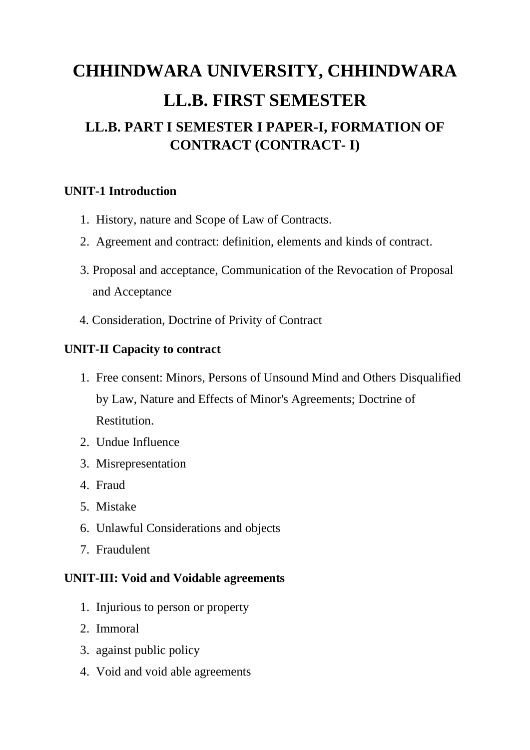# **CHHINDWARA UNIVERSITY, CHHINDWARA LL.B. FIRST SEMESTER LL.B. PART I SEMESTER I PAPER-I, FORMATION OF CONTRACT (CONTRACT- I)**

## **UNIT-1 Introduction**

- 1. History, nature and Scope of Law of Contracts.
- 2. Agreement and contract: definition, elements and kinds of contract.
- 3. Proposal and acceptance, Communication of the Revocation of Proposal and Acceptance
- 4. Consideration, Doctrine of Privity of Contract

## **UNIT-II Capacity to contract**

- 1. Free consent: Minors, Persons of Unsound Mind and Others Disqualified by Law, Nature and Effects of Minor's Agreements; Doctrine of Restitution.
- 2. Undue Influence
- 3. Misrepresentation
- 4. Fraud
- 5. Mistake
- 6. Unlawful Considerations and objects
- 7. Fraudulent

#### **UNIT-III: Void and Voidable agreements**

- 1. Injurious to person or property
- 2. Immoral
- 3. against public policy
- 4. Void and void able agreements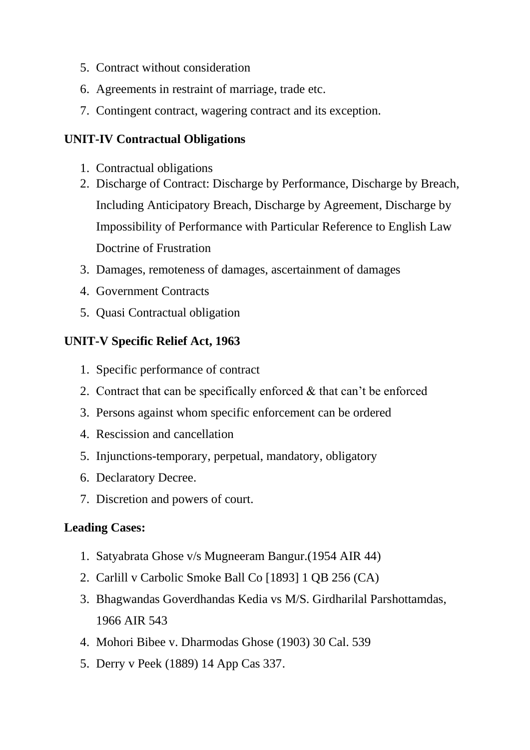- 5. Contract without consideration
- 6. Agreements in restraint of marriage, trade etc.
- 7. Contingent contract, wagering contract and its exception.

## **UNIT-IV Contractual Obligations**

- 1. Contractual obligations
- 2. Discharge of Contract: Discharge by Performance, Discharge by Breach, Including Anticipatory Breach, Discharge by Agreement, Discharge by Impossibility of Performance with Particular Reference to English Law Doctrine of Frustration
- 3. Damages, remoteness of damages, ascertainment of damages
- 4. Government Contracts
- 5. Quasi Contractual obligation

## **UNIT-V Specific Relief Act, 1963**

- 1. Specific performance of contract
- 2. Contract that can be specifically enforced & that can't be enforced
- 3. Persons against whom specific enforcement can be ordered
- 4. Rescission and cancellation
- 5. Injunctions-temporary, perpetual, mandatory, obligatory
- 6. Declaratory Decree.
- 7. Discretion and powers of court.

## **Leading Cases:**

- 1. Satyabrata Ghose v/s Mugneeram Bangur.(1954 AIR 44)
- 2. Carlill v Carbolic Smoke Ball Co [1893] 1 QB 256 (CA)
- 3. Bhagwandas Goverdhandas Kedia vs M/S. Girdharilal Parshottamdas, 1966 AIR 543
- 4. Mohori Bibee v. Dharmodas Ghose (1903) 30 Cal. 539
- 5. Derry v Peek (1889) 14 App Cas 337.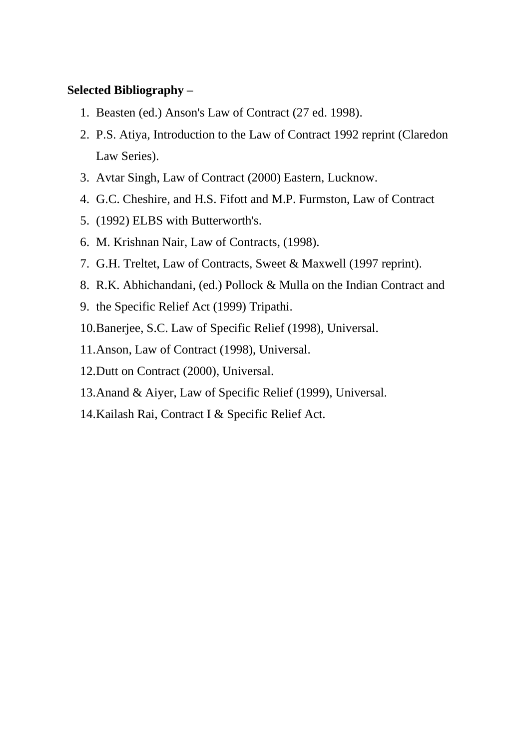#### **Selected Bibliography –**

- 1. Beasten (ed.) Anson's Law of Contract (27 ed. 1998).
- 2. P.S. Atiya, Introduction to the Law of Contract 1992 reprint (Claredon Law Series).
- 3. Avtar Singh, Law of Contract (2000) Eastern, Lucknow.
- 4. G.C. Cheshire, and H.S. Fifott and M.P. Furmston, Law of Contract
- 5. (1992) ELBS with Butterworth's.
- 6. M. Krishnan Nair, Law of Contracts, (1998).
- 7. G.H. Treltet, Law of Contracts, Sweet & Maxwell (1997 reprint).
- 8. R.K. Abhichandani, (ed.) Pollock & Mulla on the Indian Contract and
- 9. the Specific Relief Act (1999) Tripathi.
- 10.Banerjee, S.C. Law of Specific Relief (1998), Universal.
- 11.Anson, Law of Contract (1998), Universal.
- 12.Dutt on Contract (2000), Universal.
- 13.Anand & Aiyer, Law of Specific Relief (1999), Universal.
- 14.Kailash Rai, Contract I & Specific Relief Act.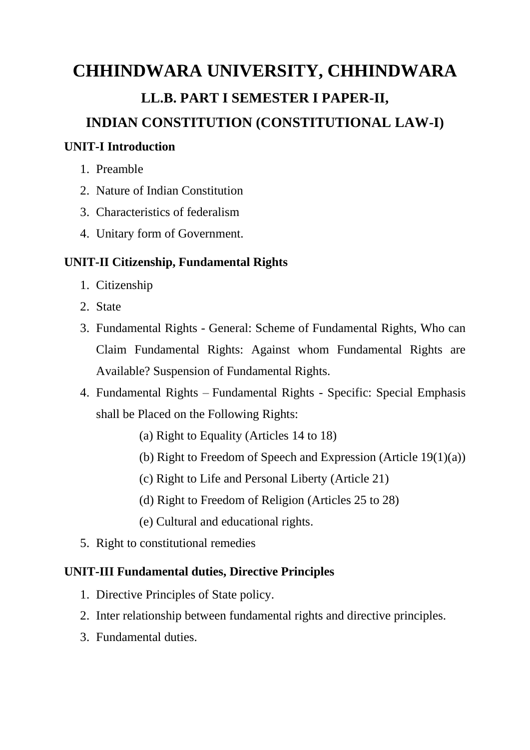# **CHHINDWARA UNIVERSITY, CHHINDWARA LL.B. PART I SEMESTER I PAPER-II, INDIAN CONSTITUTION (CONSTITUTIONAL LAW-I)**

### **UNIT-I Introduction**

- 1. Preamble
- 2. Nature of Indian Constitution
- 3. Characteristics of federalism
- 4. Unitary form of Government.

## **UNIT-II Citizenship, Fundamental Rights**

- 1. Citizenship
- 2. State
- 3. Fundamental Rights General: Scheme of Fundamental Rights, Who can Claim Fundamental Rights: Against whom Fundamental Rights are Available? Suspension of Fundamental Rights.
- 4. Fundamental Rights Fundamental Rights Specific: Special Emphasis shall be Placed on the Following Rights:
	- (a) Right to Equality (Articles 14 to 18)
	- (b) Right to Freedom of Speech and Expression (Article 19(1)(a))
	- (c) Right to Life and Personal Liberty (Article 21)
	- (d) Right to Freedom of Religion (Articles 25 to 28)
	- (e) Cultural and educational rights.
- 5. Right to constitutional remedies

#### **UNIT-III Fundamental duties, Directive Principles**

- 1. Directive Principles of State policy.
- 2. Inter relationship between fundamental rights and directive principles.
- 3. Fundamental duties.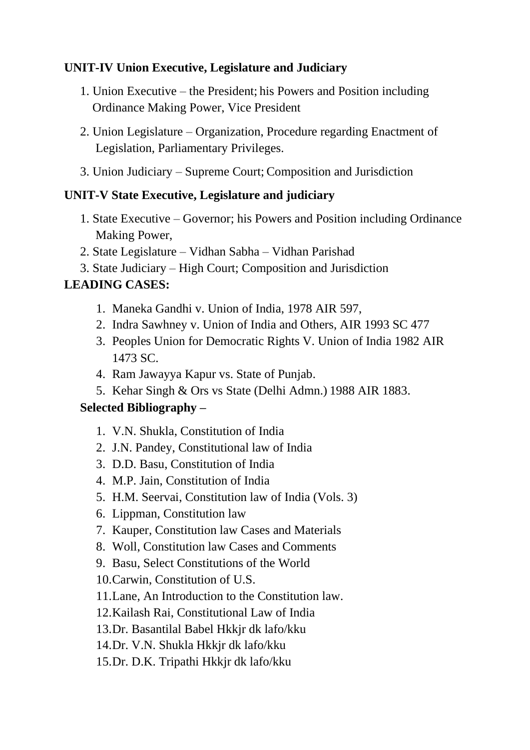## **UNIT-IV Union Executive, Legislature and Judiciary**

- 1. Union Executive the President; his Powers and Position including Ordinance Making Power, Vice President
- 2. Union Legislature Organization, Procedure regarding Enactment of Legislation, Parliamentary Privileges.
- 3. Union Judiciary Supreme Court; Composition and Jurisdiction

#### **UNIT-V State Executive, Legislature and judiciary**

- 1. State Executive Governor; his Powers and Position including Ordinance Making Power,
- 2. State Legislature Vidhan Sabha Vidhan Parishad
- 3. State Judiciary High Court; Composition and Jurisdiction

## **LEADING CASES:**

- 1. Maneka Gandhi v. Union of India, 1978 AIR 597,
- 2. Indra Sawhney v. Union of India and Others, AIR 1993 SC 477
- 3. Peoples Union for Democratic Rights V. Union of India 1982 AIR 1473 SC.
- 4. Ram Jawayya Kapur vs. State of Punjab.
- 5. Kehar Singh & Ors vs State (Delhi Admn.) 1988 AIR 1883.

## **Selected Bibliography –**

- 1. V.N. Shukla, Constitution of India
- 2. J.N. Pandey, Constitutional law of India
- 3. D.D. Basu, Constitution of India
- 4. M.P. Jain, Constitution of India
- 5. H.M. Seervai, Constitution law of India (Vols. 3)
- 6. Lippman, Constitution law
- 7. Kauper, Constitution law Cases and Materials
- 8. Woll, Constitution law Cases and Comments
- 9. Basu, Select Constitutions of the World
- 10.Carwin, Constitution of U.S.
- 11.Lane, An Introduction to the Constitution law.
- 12.Kailash Rai, Constitutional Law of India
- 13.Dr. Basantilal Babel Hkkjr dk lafo/kku
- 14.Dr. V.N. Shukla Hkkjr dk lafo/kku
- 15.Dr. D.K. Tripathi Hkkjr dk lafo/kku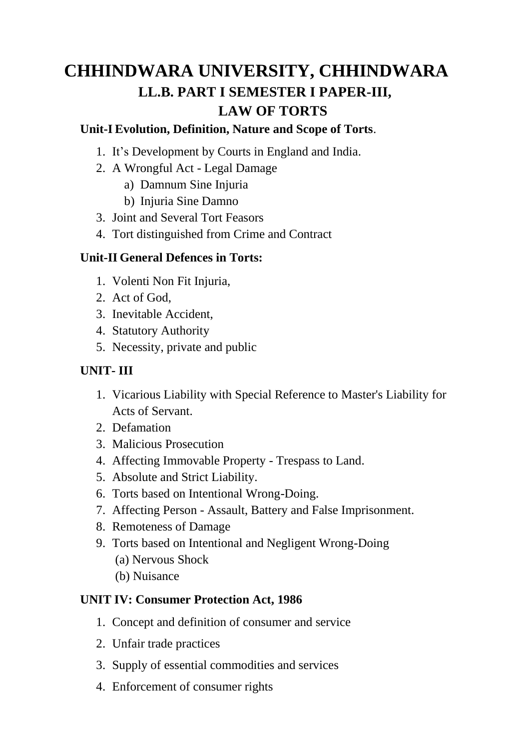## **CHHINDWARA UNIVERSITY, CHHINDWARA LL.B. PART I SEMESTER I PAPER-III, LAW OF TORTS**

### **Unit-I Evolution, Definition, Nature and Scope of Torts**.

- 1. It's Development by Courts in England and India.
- 2. A Wrongful Act Legal Damage
	- a) Damnum Sine Injuria
	- b) Injuria Sine Damno
- 3. Joint and Several Tort Feasors
- 4. Tort distinguished from Crime and Contract

#### **Unit-II General Defences in Torts:**

- 1. Volenti Non Fit Injuria,
- 2. Act of God,
- 3. Inevitable Accident,
- 4. Statutory Authority
- 5. Necessity, private and public

## **UNIT- III**

- 1. Vicarious Liability with Special Reference to Master's Liability for Acts of Servant.
- 2. Defamation
- 3. Malicious Prosecution
- 4. Affecting Immovable Property Trespass to Land.
- 5. Absolute and Strict Liability.
- 6. Torts based on Intentional Wrong-Doing.
- 7. Affecting Person Assault, Battery and False Imprisonment.
- 8. Remoteness of Damage
- 9. Torts based on Intentional and Negligent Wrong-Doing (a) Nervous Shock
	- (b) Nuisance

#### **UNIT IV: Consumer Protection Act, 1986**

- 1. Concept and definition of consumer and service
- 2. Unfair trade practices
- 3. Supply of essential commodities and services
- 4. Enforcement of consumer rights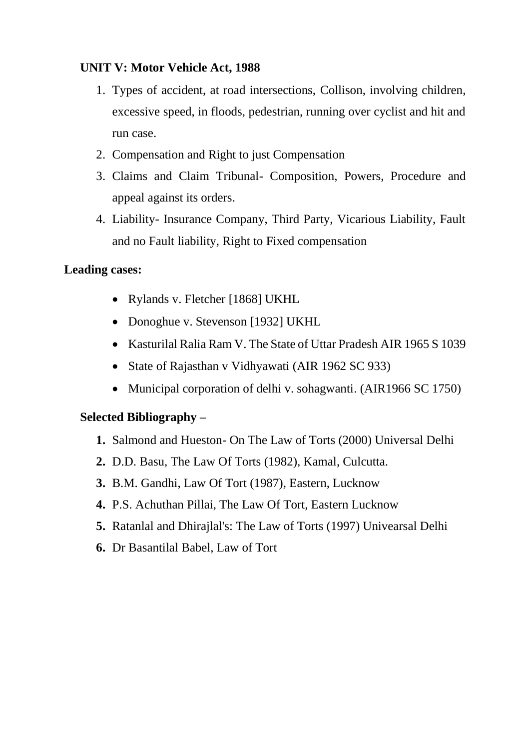## **UNIT V: Motor Vehicle Act, 1988**

- 1. Types of accident, at road intersections, Collison, involving children, excessive speed, in floods, pedestrian, running over cyclist and hit and run case.
- 2. Compensation and Right to just Compensation
- 3. Claims and Claim Tribunal- Composition, Powers, Procedure and appeal against its orders.
- 4. Liability- Insurance Company, Third Party, Vicarious Liability, Fault and no Fault liability, Right to Fixed compensation

#### **Leading cases:**

- Rylands v. Fletcher [1868] UKHL
- Donoghue v. Stevenson [1932] UKHL
- Kasturilal Ralia Ram V. The State of Uttar Pradesh AIR 1965 S 1039
- State of Rajasthan v Vidhyawati (AIR 1962 SC 933)
- Municipal corporation of delhi v. sohagwanti. (AIR1966 SC 1750)

#### **Selected Bibliography –**

- **1.** Salmond and Hueston- On The Law of Torts (2000) Universal Delhi
- **2.** D.D. Basu, The Law Of Torts (1982), Kamal, Culcutta.
- **3.** B.M. Gandhi, Law Of Tort (1987), Eastern, Lucknow
- **4.** P.S. Achuthan Pillai, The Law Of Tort, Eastern Lucknow
- **5.** Ratanlal and Dhirajlal's: The Law of Torts (1997) Univearsal Delhi
- **6.** Dr Basantilal Babel, Law of Tort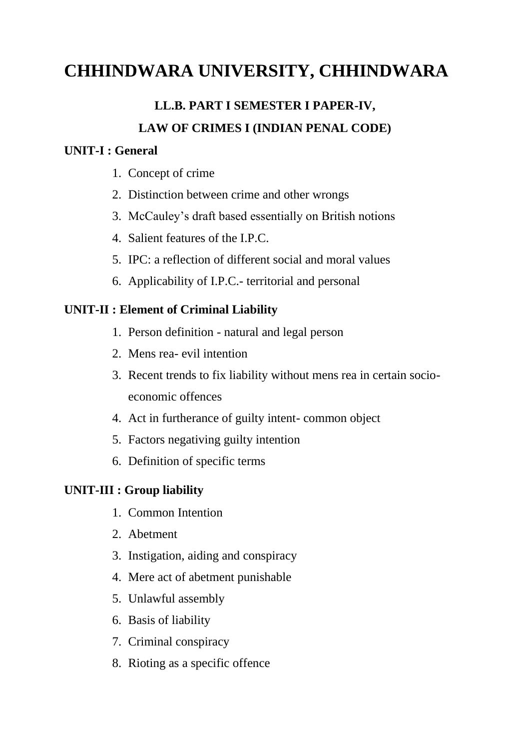## **CHHINDWARA UNIVERSITY, CHHINDWARA**

## **LL.B. PART I SEMESTER I PAPER-IV, LAW OF CRIMES I (INDIAN PENAL CODE)**

#### **UNIT-I : General**

- 1. Concept of crime
- 2. Distinction between crime and other wrongs
- 3. McCauley's draft based essentially on British notions
- 4. Salient features of the I.P.C.
- 5. IPC: a reflection of different social and moral values
- 6. Applicability of I.P.C.- territorial and personal

#### **UNIT-II : Element of Criminal Liability**

- 1. Person definition natural and legal person
- 2. Mens rea- evil intention
- 3. Recent trends to fix liability without mens rea in certain socioeconomic offences
- 4. Act in furtherance of guilty intent- common object
- 5. Factors negativing guilty intention
- 6. Definition of specific terms

#### **UNIT-III : Group liability**

- 1. Common Intention
- 2. Abetment
- 3. Instigation, aiding and conspiracy
- 4. Mere act of abetment punishable
- 5. Unlawful assembly
- 6. Basis of liability
- 7. Criminal conspiracy
- 8. Rioting as a specific offence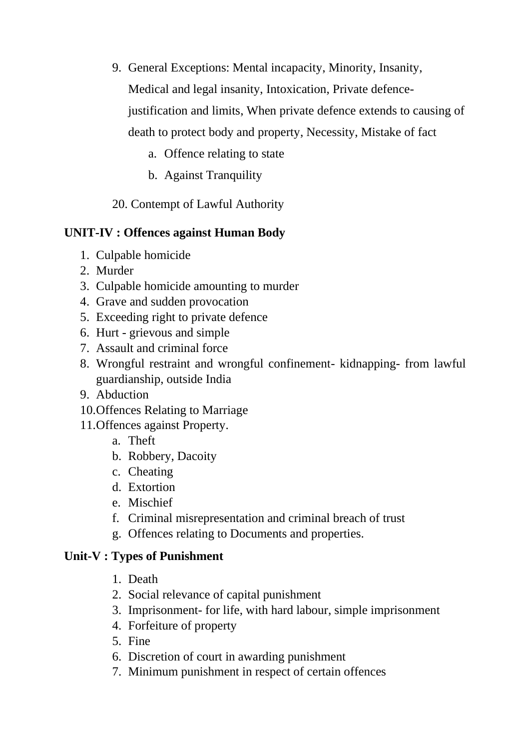- 9. General Exceptions: Mental incapacity, Minority, Insanity, Medical and legal insanity, Intoxication, Private defencejustification and limits, When private defence extends to causing of death to protect body and property, Necessity, Mistake of fact
	- a. Offence relating to state
	- b. Against Tranquility

20. Contempt of Lawful Authority

## **UNIT-IV : Offences against Human Body**

- 1. Culpable homicide
- 2. Murder
- 3. Culpable homicide amounting to murder
- 4. Grave and sudden provocation
- 5. Exceeding right to private defence
- 6. Hurt grievous and simple
- 7. Assault and criminal force
- 8. Wrongful restraint and wrongful confinement- kidnapping- from lawful guardianship, outside India
- 9. Abduction
- 10.Offences Relating to Marriage
- 11.Offences against Property.
	- a. Theft
	- b. Robbery, Dacoity
	- c. Cheating
	- d. Extortion
	- e. Mischief
	- f. Criminal misrepresentation and criminal breach of trust
	- g. Offences relating to Documents and properties.

#### **Unit-V : Types of Punishment**

- 1. Death
- 2. Social relevance of capital punishment
- 3. Imprisonment- for life, with hard labour, simple imprisonment
- 4. Forfeiture of property
- 5. Fine
- 6. Discretion of court in awarding punishment
- 7. Minimum punishment in respect of certain offences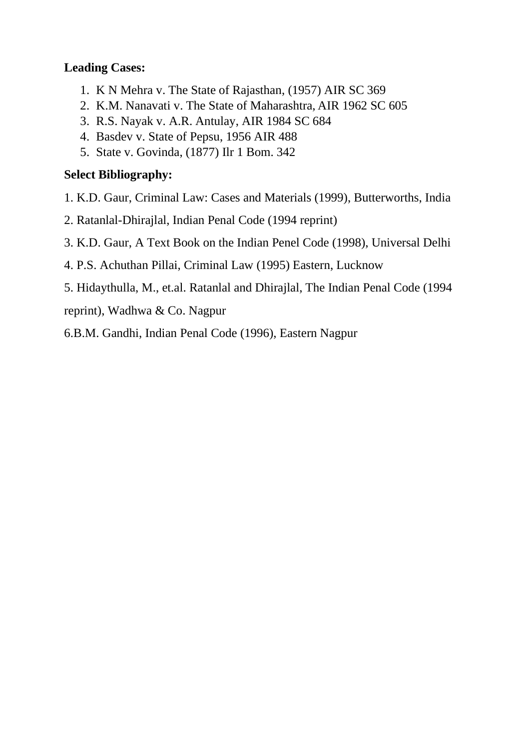## **Leading Cases:**

- 1. K N Mehra v. The State of Rajasthan, (1957) AIR SC 369
- 2. K.M. Nanavati v. The State of Maharashtra, AIR 1962 SC 605
- 3. R.S. Nayak v. A.R. Antulay, AIR 1984 SC 684
- 4. Basdev v. State of Pepsu, 1956 AIR 488
- 5. State v. Govinda, (1877) Ilr 1 Bom. 342

## **Select Bibliography:**

- 1. K.D. Gaur, Criminal Law: Cases and Materials (1999), Butterworths, India
- 2. Ratanlal-Dhirajlal, Indian Penal Code (1994 reprint)
- 3. K.D. Gaur, A Text Book on the Indian Penel Code (1998), Universal Delhi
- 4. P.S. Achuthan Pillai, Criminal Law (1995) Eastern, Lucknow
- 5. Hidaythulla, M., et.al. Ratanlal and Dhirajlal, The Indian Penal Code (1994

reprint), Wadhwa & Co. Nagpur

6.B.M. Gandhi, Indian Penal Code (1996), Eastern Nagpur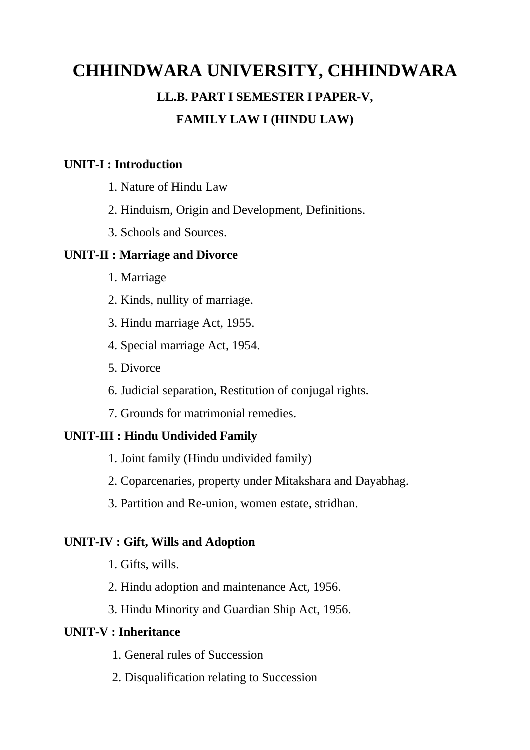## **CHHINDWARA UNIVERSITY, CHHINDWARA LL.B. PART I SEMESTER I PAPER-V, FAMILY LAW I (HINDU LAW)**

#### **UNIT-I : Introduction**

- 1. Nature of Hindu Law
- 2. Hinduism, Origin and Development, Definitions.
- 3. Schools and Sources.

#### **UNIT-II : Marriage and Divorce**

- 1. Marriage
- 2. Kinds, nullity of marriage.
- 3. Hindu marriage Act, 1955.
- 4. Special marriage Act, 1954.
- 5. Divorce
- 6. Judicial separation, Restitution of conjugal rights.
- 7. Grounds for matrimonial remedies.

## **UNIT-III : Hindu Undivided Family**

- 1. Joint family (Hindu undivided family)
- 2. Coparcenaries, property under Mitakshara and Dayabhag.
- 3. Partition and Re-union, women estate, stridhan.

#### **UNIT-IV : Gift, Wills and Adoption**

- 1. Gifts, wills.
- 2. Hindu adoption and maintenance Act, 1956.
- 3. Hindu Minority and Guardian Ship Act, 1956.

#### **UNIT-V : Inheritance**

- 1. General rules of Succession
- 2. Disqualification relating to Succession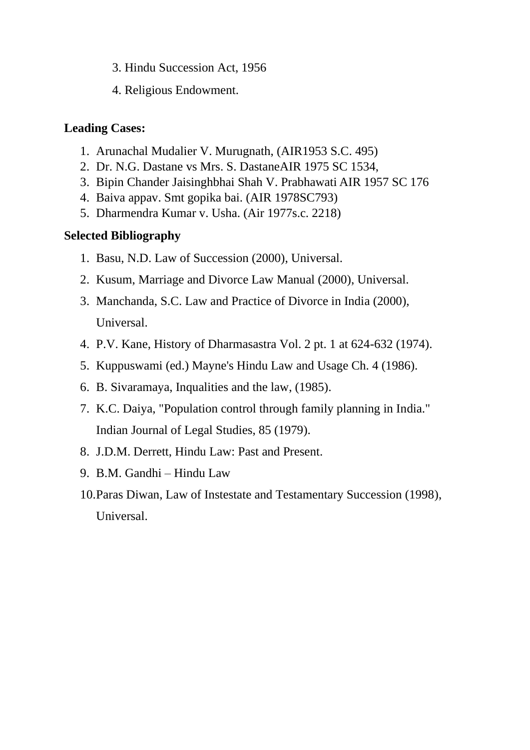- 3. Hindu Succession Act, 1956
- 4. Religious Endowment.

## **Leading Cases:**

- 1. Arunachal Mudalier V. Murugnath, (AIR1953 S.C. 495)
- 2. Dr. N.G. Dastane vs Mrs. S. DastaneAIR 1975 SC 1534,
- 3. Bipin Chander Jaisinghbhai Shah V. Prabhawati AIR 1957 SC 176
- 4. Baiva appav. Smt gopika bai. (AIR 1978SC793)
- 5. Dharmendra Kumar v. Usha. (Air 1977s.c. 2218)

## **Selected Bibliography**

- 1. Basu, N.D. Law of Succession (2000), Universal.
- 2. Kusum, Marriage and Divorce Law Manual (2000), Universal.
- 3. Manchanda, S.C. Law and Practice of Divorce in India (2000), Universal.
- 4. P.V. Kane, History of Dharmasastra Vol. 2 pt. 1 at 624-632 (1974).
- 5. Kuppuswami (ed.) Mayne's Hindu Law and Usage Ch. 4 (1986).
- 6. B. Sivaramaya, Inqualities and the law, (1985).
- 7. K.C. Daiya, "Population control through family planning in India." Indian Journal of Legal Studies, 85 (1979).
- 8. J.D.M. Derrett, Hindu Law: Past and Present.
- 9. B.M. Gandhi Hindu Law
- 10.Paras Diwan, Law of Instestate and Testamentary Succession (1998), Universal.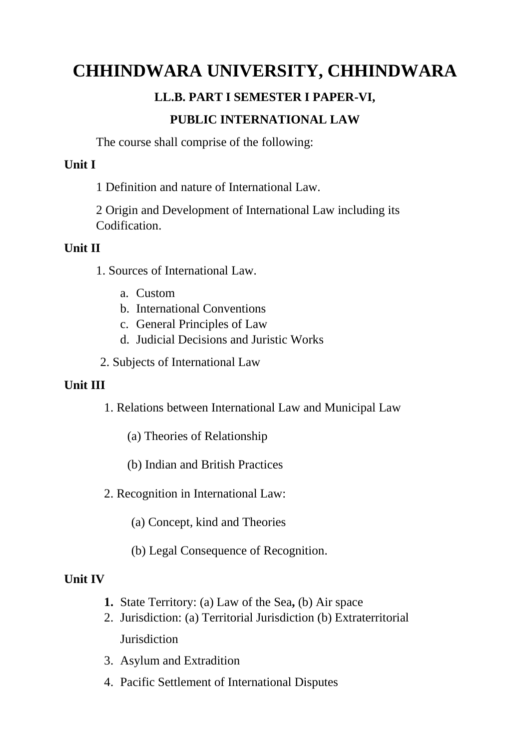## **CHHINDWARA UNIVERSITY, CHHINDWARA**

## **LL.B. PART I SEMESTER I PAPER-VI,**

## **PUBLIC INTERNATIONAL LAW**

The course shall comprise of the following:

#### **Unit I**

1 Definition and nature of International Law.

2 Origin and Development of International Law including its Codification.

#### **Unit II**

- 1. Sources of International Law.
	- a. Custom
	- b. International Conventions
	- c. General Principles of Law
	- d. Judicial Decisions and Juristic Works
- 2. Subjects of International Law

#### **Unit III**

1. Relations between International Law and Municipal Law

- (a) Theories of Relationship
- (b) Indian and British Practices
- 2. Recognition in International Law:
	- (a) Concept, kind and Theories
	- (b) Legal Consequence of Recognition.

#### **Unit IV**

- **1.** State Territory: (a) Law of the Sea**,** (b) Air space
- 2. Jurisdiction: (a) Territorial Jurisdiction (b) Extraterritorial **Jurisdiction**
- 3. Asylum and Extradition
- 4. Pacific Settlement of International Disputes